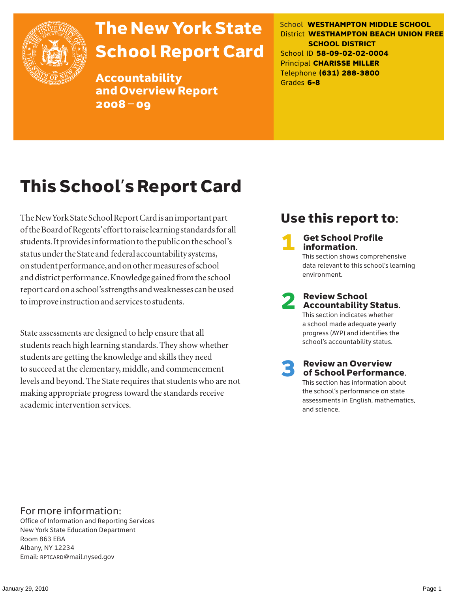

# The New York State School Report Card

Accountability and Overview Report 2008–09

School **WESTHAMPTON MIDDLE SCHOOL** District **WESTHAMPTON BEACH UNION FREE SCHOOL DISTRICT** School ID **58-09-02-02-0004** Principal **CHARISSE MILLER** Telephone **(631) 288-3800** Grades **6-8**

# This School's Report Card

The New York State School Report Card is an important part of the Board of Regents' effort to raise learning standards for all students. It provides information to the public on the school's status under the State and federal accountability systems, on student performance, and on other measures of school and district performance. Knowledge gained from the school report card on a school's strengths and weaknesses can be used to improve instruction and services to students.

State assessments are designed to help ensure that all students reach high learning standards. They show whether students are getting the knowledge and skills they need to succeed at the elementary, middle, and commencement levels and beyond. The State requires that students who are not making appropriate progress toward the standards receive academic intervention services.

## Use this report to:

**Get School Profile** information. This section shows comprehensive data relevant to this school's learning environment.

# 2 Review School Accountability Status.

This section indicates whether a school made adequate yearly progress (AYP) and identifies the school's accountability status.

3 Review an Overview of School Performance. This section has information about the school's performance on state assessments in English, mathematics,

and science.

For more information:

Office of Information and Reporting Services New York State Education Department Room 863 EBA Albany, NY 12234 Email: RPTCARD@mail.nysed.gov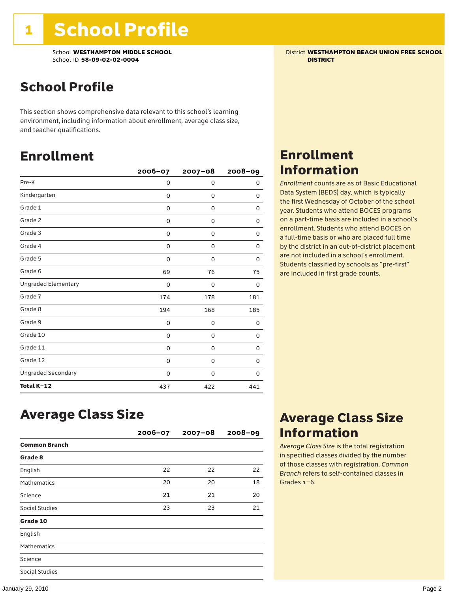School **WESTHAMPTON MIDDLE SCHOOL** District **WESTHAMPTON BEACH UNION FREE SCHOOL** School ID **58-09-02-02-0004 DISTRICT**

## School Profile

This section shows comprehensive data relevant to this school's learning environment, including information about enrollment, average class size, and teacher qualifications.

### Enrollment

|                            | 2006-07 | $2007 - 08$ | $2008 - 09$ |
|----------------------------|---------|-------------|-------------|
| Pre-K                      | 0       | 0           | 0           |
| Kindergarten               | 0       | 0           | 0           |
| Grade 1                    | 0       | 0           | 0           |
| Grade 2                    | 0       | 0           | 0           |
| Grade 3                    | 0       | 0           | 0           |
| Grade 4                    | 0       | 0           | 0           |
| Grade 5                    | 0       | 0           | 0           |
| Grade 6                    | 69      | 76          | 75          |
| <b>Ungraded Elementary</b> | 0       | 0           | 0           |
| Grade 7                    | 174     | 178         | 181         |
| Grade 8                    | 194     | 168         | 185         |
| Grade 9                    | 0       | 0           | 0           |
| Grade 10                   | 0       | 0           | 0           |
| Grade 11                   | 0       | 0           | 0           |
| Grade 12                   | 0       | 0           | 0           |
| <b>Ungraded Secondary</b>  | 0       | 0           | 0           |
| Total K-12                 | 437     | 422         | 441         |

### Enrollment Information

*Enrollment* counts are as of Basic Educational Data System (BEDS) day, which is typically the first Wednesday of October of the school year. Students who attend BOCES programs on a part-time basis are included in a school's enrollment. Students who attend BOCES on a full-time basis or who are placed full time by the district in an out-of-district placement are not included in a school's enrollment. Students classified by schools as "pre-first" are included in first grade counts.

### Average Class Size

|                       | $2006 - 07$ | $2007 - 08$ | $2008 - 09$ |
|-----------------------|-------------|-------------|-------------|
| <b>Common Branch</b>  |             |             |             |
| Grade 8               |             |             |             |
| English               | 22          | 22          | 22          |
| <b>Mathematics</b>    | 20          | 20          | 18          |
| Science               | 21          | 21          | 20          |
| <b>Social Studies</b> | 23          | 23          | 21          |
| Grade 10              |             |             |             |
| English               |             |             |             |
| <b>Mathematics</b>    |             |             |             |
| Science               |             |             |             |
| Social Studies        |             |             |             |

### Average Class Size Information

*Average Class Size* is the total registration in specified classes divided by the number of those classes with registration. *Common Branch* refers to self-contained classes in Grades 1–6.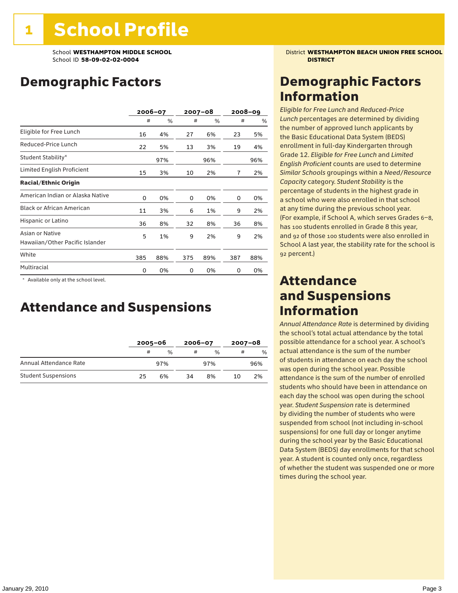## Demographic Factors

|                                                    |     | 2006-07 |     | $2007 - 08$ |     | $2008 - 09$ |
|----------------------------------------------------|-----|---------|-----|-------------|-----|-------------|
|                                                    | #   | %       | #   | %           | #   | %           |
| Eligible for Free Lunch                            | 16  | 4%      | 27  | 6%          | 23  | 5%          |
| Reduced-Price Lunch                                | 22  | 5%      | 13  | 3%          | 19  | 4%          |
| Student Stability*                                 |     | 97%     |     | 96%         |     | 96%         |
| Limited English Proficient                         | 15  | 3%      | 10  | 2%          | 7   | 2%          |
| <b>Racial/Ethnic Origin</b>                        |     |         |     |             |     |             |
| American Indian or Alaska Native                   | 0   | 0%      | 0   | 0%          | 0   | 0%          |
| <b>Black or African American</b>                   | 11  | 3%      | 6   | 1%          | 9   | 2%          |
| Hispanic or Latino                                 | 36  | 8%      | 32  | 8%          | 36  | 8%          |
| Asian or Native<br>Hawaiian/Other Pacific Islander | 5   | 1%      | 9   | 2%          | 9   | 2%          |
| White                                              | 385 | 88%     | 375 | 89%         | 387 | 88%         |
| Multiracial                                        | 0   | 0%      | 0   | 0%          | 0   | 0%          |

\* Available only at the school level.

### Attendance and Suspensions

|                            |    | $2005 - 06$ |    | $2006 - 07$   |   | $2007 - 08$ |  |
|----------------------------|----|-------------|----|---------------|---|-------------|--|
|                            | #  | $\%$        | #  | $\frac{0}{6}$ | # | $\%$        |  |
| Annual Attendance Rate     |    | 97%         |    | 97%           |   | 96%         |  |
| <b>Student Suspensions</b> | 25 | 6%          | 34 | 8%            |   | 2%          |  |

School **WESTHAMPTON MIDDLE SCHOOL** District **WESTHAMPTON BEACH UNION FREE SCHOOL**

### Demographic Factors Information

*Eligible for Free Lunch* and *Reduced*-*Price Lunch* percentages are determined by dividing the number of approved lunch applicants by the Basic Educational Data System (BEDS) enrollment in full-day Kindergarten through Grade 12. *Eligible for Free Lunch* and *Limited English Proficient* counts are used to determine *Similar Schools* groupings within a *Need*/*Resource Capacity* category. *Student Stability* is the percentage of students in the highest grade in a school who were also enrolled in that school at any time during the previous school year. (For example, if School A, which serves Grades 6–8, has 100 students enrolled in Grade 8 this year, and 92 of those 100 students were also enrolled in School A last year, the stability rate for the school is 92 percent.)

### Attendance and Suspensions Information

*Annual Attendance Rate* is determined by dividing the school's total actual attendance by the total possible attendance for a school year. A school's actual attendance is the sum of the number of students in attendance on each day the school was open during the school year. Possible attendance is the sum of the number of enrolled students who should have been in attendance on each day the school was open during the school year. *Student Suspension* rate is determined by dividing the number of students who were suspended from school (not including in-school suspensions) for one full day or longer anytime during the school year by the Basic Educational Data System (BEDS) day enrollments for that school year. A student is counted only once, regardless of whether the student was suspended one or more times during the school year.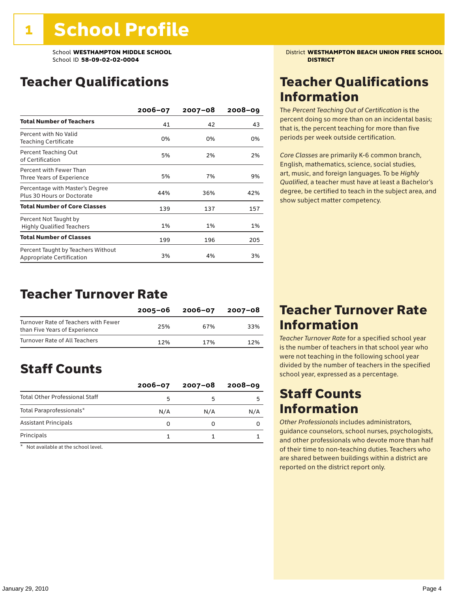### Teacher Qualifications

|                                                                 | $2006 - 07$ | $2007 - 08$ | $2008 - 09$ |
|-----------------------------------------------------------------|-------------|-------------|-------------|
| <b>Total Number of Teachers</b>                                 | 41          | 42          | 43          |
| Percent with No Valid<br>Teaching Certificate                   | 0%          | 0%          | 0%          |
| Percent Teaching Out<br>of Certification                        | 5%          | 2%          | 2%          |
| Percent with Fewer Than<br>Three Years of Experience            | 5%          | 7%          | 9%          |
| Percentage with Master's Degree<br>Plus 30 Hours or Doctorate   | 44%         | 36%         | 42%         |
| <b>Total Number of Core Classes</b>                             | 139         | 137         | 157         |
| Percent Not Taught by<br><b>Highly Qualified Teachers</b>       | 1%          | 1%          | 1%          |
| <b>Total Number of Classes</b>                                  | 199         | 196         | 205         |
| Percent Taught by Teachers Without<br>Appropriate Certification | 3%          | 4%          | 3%          |

### Teacher Turnover Rate

|                                                                       | 2005-06 | 2006-07 | 2007-08 |
|-----------------------------------------------------------------------|---------|---------|---------|
| Turnover Rate of Teachers with Fewer<br>than Five Years of Experience | 25%     | 67%     | 33%     |
| Turnover Rate of All Teachers                                         | 12%     | 17%     | 12%     |

## Staff Counts

|                                       | $2006 - 07$ | $2007 - 08$ | $2008 - 09$ |
|---------------------------------------|-------------|-------------|-------------|
| <b>Total Other Professional Staff</b> | 5           |             |             |
| Total Paraprofessionals*              | N/A         | N/A         | N/A         |
| <b>Assistant Principals</b>           |             |             |             |
| Principals                            |             |             |             |

\* Not available at the school level.

School **WESTHAMPTON MIDDLE SCHOOL** District **WESTHAMPTON BEACH UNION FREE SCHOOL**

### Teacher Qualifications Information

The *Percent Teaching Out of Certification* is the percent doing so more than on an incidental basis; that is, the percent teaching for more than five periods per week outside certification.

*Core Classes* are primarily K-6 common branch, English, mathematics, science, social studies, art, music, and foreign languages. To be *Highly Qualified*, a teacher must have at least a Bachelor's degree, be certified to teach in the subject area, and show subject matter competency.

### Teacher Turnover Rate Information

*Teacher Turnover Rate* for a specified school year is the number of teachers in that school year who were not teaching in the following school year divided by the number of teachers in the specified school year, expressed as a percentage.

### Staff Counts **Information**

*Other Professionals* includes administrators, guidance counselors, school nurses, psychologists, and other professionals who devote more than half of their time to non-teaching duties. Teachers who are shared between buildings within a district are reported on the district report only.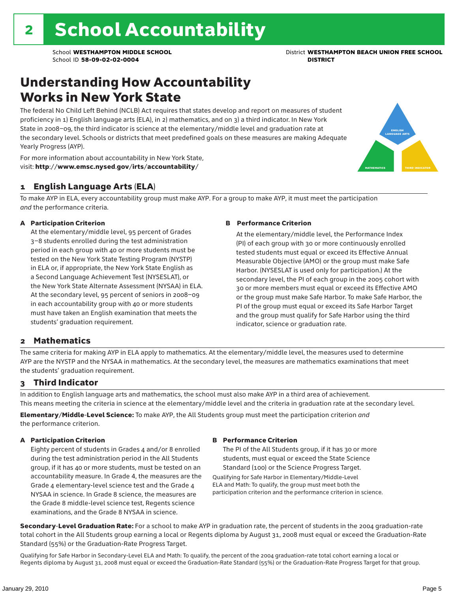### Understanding How Accountability Works in New York State

The federal No Child Left Behind (NCLB) Act requires that states develop and report on measures of student proficiency in 1) English language arts (ELA), in 2) mathematics, and on 3) a third indicator. In New York State in 2008–09, the third indicator is science at the elementary/middle level and graduation rate at the secondary level. Schools or districts that meet predefined goals on these measures are making Adequate Yearly Progress (AYP).



For more information about accountability in New York State, visit: http://www.emsc.nysed.gov/irts/accountability/

#### 1 English Language Arts (ELA)

To make AYP in ELA, every accountability group must make AYP. For a group to make AYP, it must meet the participation *and* the performance criteria.

#### A Participation Criterion

At the elementary/middle level, 95 percent of Grades 3–8 students enrolled during the test administration period in each group with 40 or more students must be tested on the New York State Testing Program (NYSTP) in ELA or, if appropriate, the New York State English as a Second Language Achievement Test (NYSESLAT), or the New York State Alternate Assessment (NYSAA) in ELA. At the secondary level, 95 percent of seniors in 2008–09 in each accountability group with 40 or more students must have taken an English examination that meets the students' graduation requirement.

#### B Performance Criterion

At the elementary/middle level, the Performance Index (PI) of each group with 30 or more continuously enrolled tested students must equal or exceed its Effective Annual Measurable Objective (AMO) or the group must make Safe Harbor. (NYSESLAT is used only for participation.) At the secondary level, the PI of each group in the 2005 cohort with 30 or more members must equal or exceed its Effective AMO or the group must make Safe Harbor. To make Safe Harbor, the PI of the group must equal or exceed its Safe Harbor Target and the group must qualify for Safe Harbor using the third indicator, science or graduation rate.

#### 2 Mathematics

The same criteria for making AYP in ELA apply to mathematics. At the elementary/middle level, the measures used to determine AYP are the NYSTP and the NYSAA in mathematics. At the secondary level, the measures are mathematics examinations that meet the students' graduation requirement.

#### 3 Third Indicator

In addition to English language arts and mathematics, the school must also make AYP in a third area of achievement. This means meeting the criteria in science at the elementary/middle level and the criteria in graduation rate at the secondary level.

Elementary/Middle-Level Science: To make AYP, the All Students group must meet the participation criterion *and* the performance criterion.

#### A Participation Criterion

Eighty percent of students in Grades 4 and/or 8 enrolled during the test administration period in the All Students group, if it has 40 or more students, must be tested on an accountability measure. In Grade 4, the measures are the Grade 4 elementary-level science test and the Grade 4 NYSAA in science. In Grade 8 science, the measures are the Grade 8 middle-level science test, Regents science examinations, and the Grade 8 NYSAA in science.

#### B Performance Criterion

The PI of the All Students group, if it has 30 or more students, must equal or exceed the State Science Standard (100) or the Science Progress Target.

Qualifying for Safe Harbor in Elementary/Middle-Level ELA and Math: To qualify, the group must meet both the participation criterion and the performance criterion in science.

Secondary-Level Graduation Rate: For a school to make AYP in graduation rate, the percent of students in the 2004 graduation-rate total cohort in the All Students group earning a local or Regents diploma by August 31, 2008 must equal or exceed the Graduation-Rate Standard (55%) or the Graduation-Rate Progress Target.

Qualifying for Safe Harbor in Secondary-Level ELA and Math: To qualify, the percent of the 2004 graduation-rate total cohort earning a local or Regents diploma by August 31, 2008 must equal or exceed the Graduation-Rate Standard (55%) or the Graduation-Rate Progress Target for that group.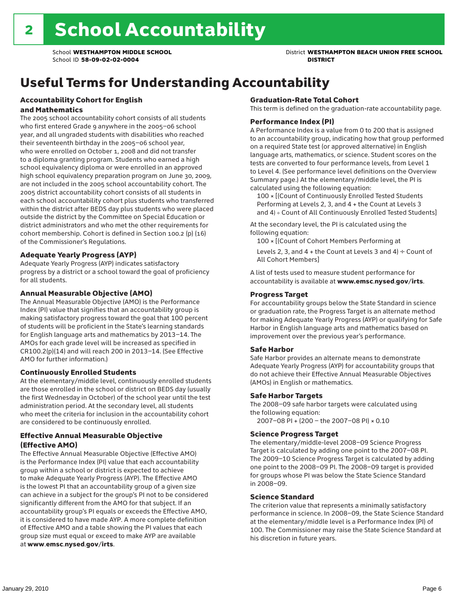School **WESTHAMPTON MIDDLE SCHOOL** District **WESTHAMPTON BEACH UNION FREE SCHOOL**

# Useful Terms for Understanding Accountability

#### Accountability Cohort for English and Mathematics

The 2005 school accountability cohort consists of all students who first entered Grade 9 anywhere in the 2005–06 school year, and all ungraded students with disabilities who reached their seventeenth birthday in the 2005–06 school year, who were enrolled on October 1, 2008 and did not transfer to a diploma granting program. Students who earned a high school equivalency diploma or were enrolled in an approved high school equivalency preparation program on June 30, 2009, are not included in the 2005 school accountability cohort. The 2005 district accountability cohort consists of all students in each school accountability cohort plus students who transferred within the district after BEDS day plus students who were placed outside the district by the Committee on Special Education or district administrators and who met the other requirements for cohort membership. Cohort is defined in Section 100.2 (p) (16) of the Commissioner's Regulations.

#### Adequate Yearly Progress (AYP)

Adequate Yearly Progress (AYP) indicates satisfactory progress by a district or a school toward the goal of proficiency for all students.

#### Annual Measurable Objective (AMO)

The Annual Measurable Objective (AMO) is the Performance Index (PI) value that signifies that an accountability group is making satisfactory progress toward the goal that 100 percent of students will be proficient in the State's learning standards for English language arts and mathematics by 2013–14. The AMOs for each grade level will be increased as specified in CR100.2(p)(14) and will reach 200 in 2013–14. (See Effective AMO for further information.)

#### Continuously Enrolled Students

At the elementary/middle level, continuously enrolled students are those enrolled in the school or district on BEDS day (usually the first Wednesday in October) of the school year until the test administration period. At the secondary level, all students who meet the criteria for inclusion in the accountability cohort are considered to be continuously enrolled.

#### Effective Annual Measurable Objective (Effective AMO)

The Effective Annual Measurable Objective (Effective AMO) is the Performance Index (PI) value that each accountability group within a school or district is expected to achieve to make Adequate Yearly Progress (AYP). The Effective AMO is the lowest PI that an accountability group of a given size can achieve in a subject for the group's PI not to be considered significantly different from the AMO for that subject. If an accountability group's PI equals or exceeds the Effective AMO, it is considered to have made AYP. A more complete definition of Effective AMO and a table showing the PI values that each group size must equal or exceed to make AYP are available at www.emsc.nysed.gov/irts.

#### Graduation-Rate Total Cohort

This term is defined on the graduation-rate accountability page.

#### Performance Index (PI)

A Performance Index is a value from 0 to 200 that is assigned to an accountability group, indicating how that group performed on a required State test (or approved alternative) in English language arts, mathematics, or science. Student scores on the tests are converted to four performance levels, from Level 1 to Level 4. (See performance level definitions on the Overview Summary page.) At the elementary/middle level, the PI is calculated using the following equation:

100 × [(Count of Continuously Enrolled Tested Students Performing at Levels 2, 3, and 4 + the Count at Levels 3 and 4) ÷ Count of All Continuously Enrolled Tested Students]

At the secondary level, the PI is calculated using the following equation:

100 × [(Count of Cohort Members Performing at

Levels 2, 3, and 4 + the Count at Levels 3 and 4)  $\div$  Count of All Cohort Members]

A list of tests used to measure student performance for accountability is available at www.emsc.nysed.gov/irts.

#### Progress Target

For accountability groups below the State Standard in science or graduation rate, the Progress Target is an alternate method for making Adequate Yearly Progress (AYP) or qualifying for Safe Harbor in English language arts and mathematics based on improvement over the previous year's performance.

#### Safe Harbor

Safe Harbor provides an alternate means to demonstrate Adequate Yearly Progress (AYP) for accountability groups that do not achieve their Effective Annual Measurable Objectives (AMOs) in English or mathematics.

#### Safe Harbor Targets

The 2008–09 safe harbor targets were calculated using the following equation:

2007–08 PI + (200 – the 2007–08 PI) × 0.10

#### Science Progress Target

The elementary/middle-level 2008–09 Science Progress Target is calculated by adding one point to the 2007–08 PI. The 2009–10 Science Progress Target is calculated by adding one point to the 2008–09 PI. The 2008–09 target is provided for groups whose PI was below the State Science Standard in 2008–09.

#### Science Standard

The criterion value that represents a minimally satisfactory performance in science. In 2008–09, the State Science Standard at the elementary/middle level is a Performance Index (PI) of 100. The Commissioner may raise the State Science Standard at his discretion in future years.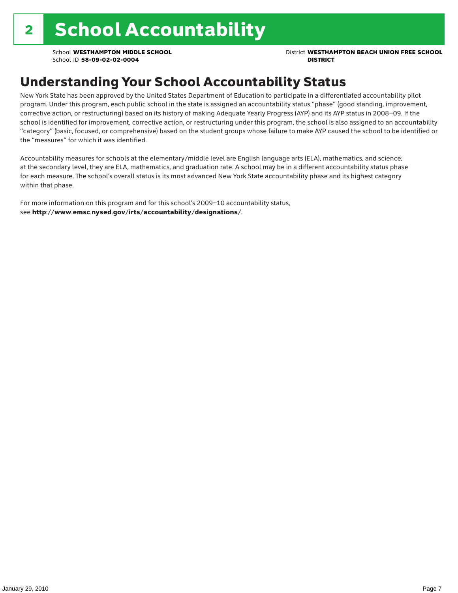School **WESTHAMPTON MIDDLE SCHOOL** District **WESTHAMPTON BEACH UNION FREE SCHOOL**

# Understanding Your School Accountability Status

New York State has been approved by the United States Department of Education to participate in a differentiated accountability pilot program. Under this program, each public school in the state is assigned an accountability status "phase" (good standing, improvement, corrective action, or restructuring) based on its history of making Adequate Yearly Progress (AYP) and its AYP status in 2008–09. If the school is identified for improvement, corrective action, or restructuring under this program, the school is also assigned to an accountability "category" (basic, focused, or comprehensive) based on the student groups whose failure to make AYP caused the school to be identified or the "measures" for which it was identified.

Accountability measures for schools at the elementary/middle level are English language arts (ELA), mathematics, and science; at the secondary level, they are ELA, mathematics, and graduation rate. A school may be in a different accountability status phase for each measure. The school's overall status is its most advanced New York State accountability phase and its highest category within that phase.

For more information on this program and for this school's 2009–10 accountability status, see http://www.emsc.nysed.gov/irts/accountability/designations/.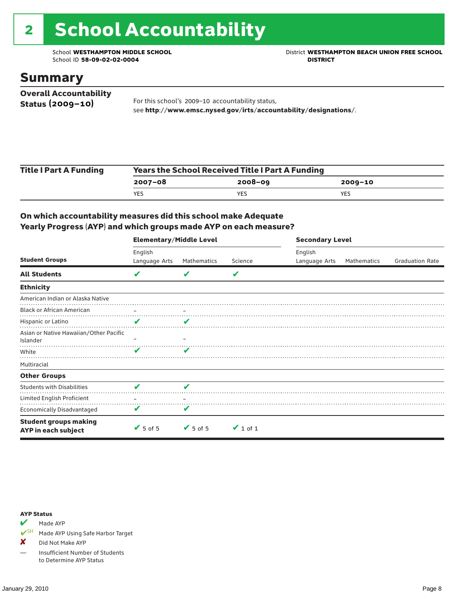# 2 School Accountability

School ID 58-09-02-02-0004

School **WESTHAMPTON MIDDLE SCHOOL**<br>School ID 58-09-02-020404<br>DISTRICT

### Summary

| <b>Overall Accountability</b> |                                                                  |
|-------------------------------|------------------------------------------------------------------|
| Status $(2009 - 10)$          | For this school's 2009-10 accountability status,                 |
|                               | see http://www.emsc.nysed.gov/irts/accountability/designations/. |

| <b>Title I Part A Funding</b> | <b>Years the School Received Title I Part A Funding</b> |             |         |  |  |  |
|-------------------------------|---------------------------------------------------------|-------------|---------|--|--|--|
|                               | 2007-08                                                 | $2008 - 09$ | 2009-10 |  |  |  |
|                               | YES                                                     | YES         | YES     |  |  |  |

#### On which accountability measures did this school make Adequate Yearly Progress (AYP) and which groups made AYP on each measure?

|                                                     | <b>Elementary/Middle Level</b> |                 |               | <b>Secondary Level</b> |             |                        |
|-----------------------------------------------------|--------------------------------|-----------------|---------------|------------------------|-------------|------------------------|
|                                                     | English                        |                 |               | English                |             |                        |
| <b>Student Groups</b>                               | Language Arts                  | Mathematics     | Science       | Language Arts          | Mathematics | <b>Graduation Rate</b> |
| <b>All Students</b>                                 | V                              | V               | V             |                        |             |                        |
| <b>Ethnicity</b>                                    |                                |                 |               |                        |             |                        |
| American Indian or Alaska Native                    |                                |                 |               |                        |             |                        |
| <b>Black or African American</b>                    |                                |                 |               |                        |             |                        |
| Hispanic or Latino                                  | V                              | V               |               |                        |             |                        |
| Asian or Native Hawaiian/Other Pacific<br>Islander  |                                |                 |               |                        |             |                        |
| White                                               | v                              | v               |               |                        |             |                        |
| Multiracial                                         |                                |                 |               |                        |             |                        |
| <b>Other Groups</b>                                 |                                |                 |               |                        |             |                        |
| <b>Students with Disabilities</b>                   | v                              | ✔               |               |                        |             |                        |
| Limited English Proficient                          |                                |                 |               |                        |             |                        |
| Economically Disadvantaged                          | V                              | V               |               |                        |             |                        |
| <b>Student groups making</b><br>AYP in each subject | $\sqrt{5}$ of 5                | $\sqrt{5}$ of 5 | $\vee$ 1 of 1 |                        |             |                        |

#### AYP Status

Made AYP

✔SH Made AYP Using Safe Harbor Target

X Did Not Make AYP

— Insufficient Number of Students to Determine AYP Status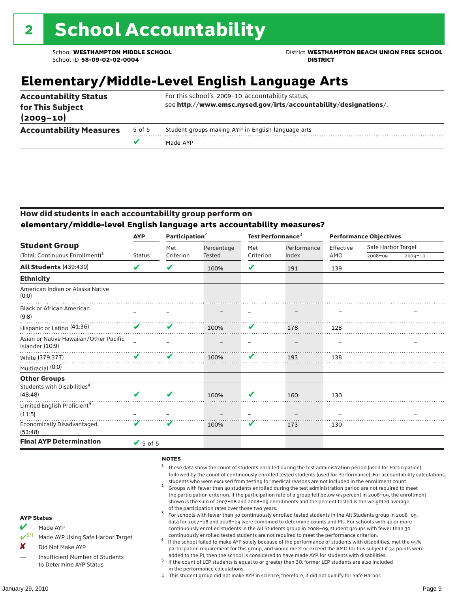School **WESTHAMPTON MIDDLE SCHOOL** District **WESTHAMPTON BEACH UNION FREE SCHOOL**

# **Elementary/Middle-Level English Language Arts**

| <b>Accountability Status</b><br>for This Subject |        | For this school's 2009-10 accountability status,<br>see http://www.emsc.nysed.gov/irts/accountability/designations/. |
|--------------------------------------------------|--------|----------------------------------------------------------------------------------------------------------------------|
| $(2009 - 10)$                                    |        |                                                                                                                      |
| <b>Accountability Measures</b>                   | 5 of 5 | Student groups making AYP in English language arts                                                                   |
|                                                  |        | Made AYP                                                                                                             |

#### How did students in each accountability group perform on **elementary/middle-level English language arts accountability measures?**

|                                                           | <b>AYP</b>    | Participation <sup>2</sup> |               | Test Performance <sup>3</sup> |             | <b>Performance Objectives</b> |                    |             |
|-----------------------------------------------------------|---------------|----------------------------|---------------|-------------------------------|-------------|-------------------------------|--------------------|-------------|
| <b>Student Group</b>                                      |               | Met                        | Percentage    | Met                           | Performance | Effective                     | Safe Harbor Target |             |
| (Total: Continuous Enrollment) <sup>1</sup>               | <b>Status</b> | Criterion                  | <b>Tested</b> | Criterion                     | Index       | AMO                           | 2008-09            | $2009 - 10$ |
| <b>All Students (439:430)</b>                             | V             | V                          | 100%          | V                             | 191         | 139                           |                    |             |
| <b>Ethnicity</b>                                          |               |                            |               |                               |             |                               |                    |             |
| American Indian or Alaska Native<br>(0:0)                 |               |                            |               |                               |             |                               |                    |             |
| <b>Black or African American</b><br>(9:8)                 |               |                            |               |                               |             |                               |                    |             |
| Hispanic or Latino (41:36)                                | V             | V                          | 100%          | V                             | 178         | 128                           |                    |             |
| Asian or Native Hawaiian/Other Pacific<br>Islander (10:9) |               |                            |               |                               |             |                               |                    |             |
| White (379:377)                                           | v             | V                          | 100%          | V                             | 193         | 138                           |                    |             |
| Multiracial (0:0)                                         |               |                            |               |                               |             |                               |                    |             |
| <b>Other Groups</b>                                       |               |                            |               |                               |             |                               |                    |             |
| Students with Disabilities <sup>4</sup>                   |               |                            |               |                               |             |                               |                    |             |
| (48:48)                                                   | V             | V                          | 100%          | V                             | 160         | 130                           |                    |             |
| Limited English Proficient <sup>5</sup>                   |               |                            |               |                               |             |                               |                    |             |
| (11:5)                                                    |               |                            |               |                               |             |                               |                    |             |
| <b>Economically Disadvantaged</b><br>(53:48)              | V             | V                          | 100%          | V                             | 173         | 130                           |                    |             |
| <b>Final AYP Determination</b>                            | $V$ 5 of 5    |                            |               |                               |             |                               |                    |             |
|                                                           |               |                            |               |                               |             |                               |                    |             |

#### **NOTES**

- <sup>1</sup> These data show the count of students enrolled during the test administration period (used for Participation) followed by the count of continuously enrolled tested students (used for Performance). For accountability calculations,
- students who were excused from testing for medical reasons are not included in the enrollment count. <sup>2</sup> Groups with fewer than 40 students enrolled during the test administration period are not required to meet the participation criterion. If the participation rate of a group fell below 95 percent in 2008–09, the enrollment shown is the sum of 2007–08 and 2008–09 enrollments and the percent tested is the weighted average
- of the participation rates over those two years.<br><sup>3</sup> For schools with fewer than 30 continuously enrolled tested students in the All Students group in 2008–09, data for 2007–08 and 2008–09 were combined to determine counts and PIs. For schools with 30 or more continuously enrolled students in the All Students group in 2008–09, student groups with fewer than 30
- continuously enrolled tested students are not required to meet the performance criterion. <sup>4</sup> If the school failed to make AYP solely because of the performance of students with disabilities, met the 95% participation requirement for this group, and would meet or exceed the AMO for this subject if 34 points were added to the PI, then the school is considered to have made AYP for students with disabilities.
- $5$  If the count of LEP students is equal to or greater than 30, former LEP students are also included in the performance calculations.
- ‡ This student group did not make AYP in science; therefore, it did not qualify for Safe Harbor.
- $M$  Made AYP
	- Made AYP Using Safe Harbor Target
- X Did Not Make AYP
- Insufficient Number of Students to Determine AYP Status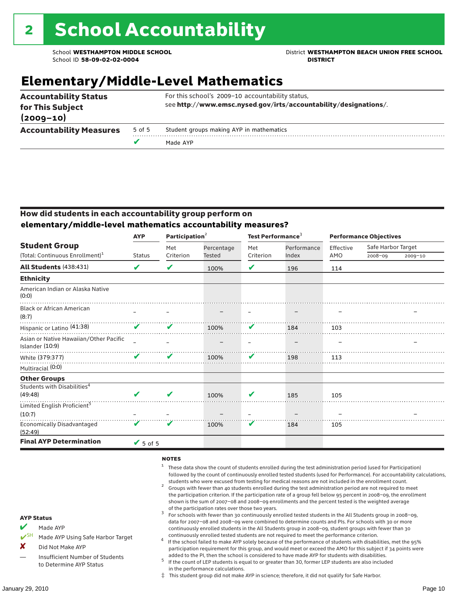School **WESTHAMPTON MIDDLE SCHOOL** District **WESTHAMPTON BEACH UNION FREE SCHOOL**

# **Elementary/Middle-Level Mathematics**

| <b>Accountability Status</b><br>for This Subject |        | For this school's 2009-10 accountability status,<br>see http://www.emsc.nysed.gov/irts/accountability/designations/. |  |  |  |  |
|--------------------------------------------------|--------|----------------------------------------------------------------------------------------------------------------------|--|--|--|--|
| $(2009 - 10)$                                    |        |                                                                                                                      |  |  |  |  |
| <b>Accountability Measures</b>                   | 5 of 5 | Student groups making AYP in mathematics                                                                             |  |  |  |  |
|                                                  |        | Made AYP                                                                                                             |  |  |  |  |

#### How did students in each accountability group perform on **elementary/middle-level mathematics accountability measures?**

|                                                           | Participation <sup>2</sup><br><b>AYP</b> |           |            | Test Performance <sup>3</sup> |             | <b>Performance Objectives</b> |                    |         |
|-----------------------------------------------------------|------------------------------------------|-----------|------------|-------------------------------|-------------|-------------------------------|--------------------|---------|
| <b>Student Group</b>                                      |                                          | Met       | Percentage | Met                           | Performance | Effective                     | Safe Harbor Target |         |
| (Total: Continuous Enrollment) <sup>1</sup>               | <b>Status</b>                            | Criterion | Tested     | Criterion                     | Index       | AMO                           | 2008-09            | 2009-10 |
| <b>All Students (438:431)</b>                             | V                                        | V         | 100%       | V                             | 196         | 114                           |                    |         |
| <b>Ethnicity</b>                                          |                                          |           |            |                               |             |                               |                    |         |
| American Indian or Alaska Native<br>(0:0)                 |                                          |           |            |                               |             |                               |                    |         |
| <b>Black or African American</b><br>(8:7)                 |                                          |           |            |                               |             |                               |                    |         |
| Hispanic or Latino (41:38)                                | V                                        | V         | 100%       | V                             | 184         | 103                           |                    |         |
| Asian or Native Hawaiian/Other Pacific<br>Islander (10:9) |                                          |           |            |                               |             |                               |                    |         |
| White (379:377)                                           | V                                        | V         | 100%       | V                             | 198         | 113                           |                    |         |
| Multiracial (0:0)                                         |                                          |           |            |                               |             |                               |                    |         |
| <b>Other Groups</b>                                       |                                          |           |            |                               |             |                               |                    |         |
| Students with Disabilities <sup>4</sup>                   |                                          |           |            |                               |             |                               |                    |         |
| (49:48)                                                   | V                                        | V         | 100%       | V                             | 185         | 105                           |                    |         |
| Limited English Proficient <sup>5</sup>                   |                                          |           |            |                               |             |                               |                    |         |
| (10:7)                                                    |                                          |           |            |                               |             |                               |                    |         |
| <b>Economically Disadvantaged</b><br>(52:49)              | V                                        | V         | 100%       | V                             | 184         | 105                           |                    |         |
| <b>Final AYP Determination</b>                            | $\sqrt{5}$ of 5                          |           |            |                               |             |                               |                    |         |

#### **NOTES**

- <sup>1</sup> These data show the count of students enrolled during the test administration period (used for Participation) followed by the count of continuously enrolled tested students (used for Performance). For accountability calculations,
- students who were excused from testing for medical reasons are not included in the enrollment count.<br><sup>2</sup> Groups with fewer than 40 students enrolled during the test administration period are not required to meet the participation criterion. If the participation rate of a group fell below 95 percent in 2008–09, the enrollment shown is the sum of 2007–08 and 2008–09 enrollments and the percent tested is the weighted average
- of the participation rates over those two years.<br><sup>3</sup> For schools with fewer than 30 continuously enrolled tested students in the All Students group in 2008–09, data for 2007–08 and 2008–09 were combined to determine counts and PIs. For schools with 30 or more continuously enrolled students in the All Students group in 2008–09, student groups with fewer than 30
- continuously enrolled tested students are not required to meet the performance criterion. <sup>4</sup> If the school failed to make AYP solely because of the performance of students with disabilities, met the 95% participation requirement for this group, and would meet or exceed the AMO for this subject if 34 points were added to the PI, then the school is considered to have made AYP for students with disabilities.
- $5$  If the count of LEP students is equal to or greater than 30, former LEP students are also included in the performance calculations.
- ‡ This student group did not make AYP in science; therefore, it did not qualify for Safe Harbor.

#### AYP Status

- Made AYP
	- Made AYP Using Safe Harbor Target
- X Did Not Make AYP
- Insufficient Number of Students to Determine AYP Status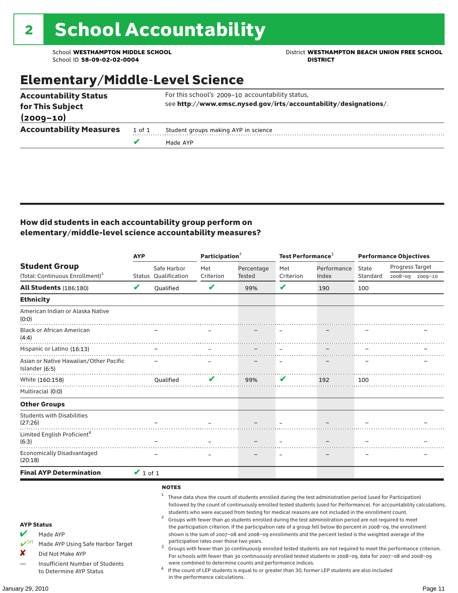School **WESTHAMPTON MIDDLE SCHOOL**<br>School ID 58-09-02-020404<br>DISTRICT DISTRICT

# Elementary/Middle-Level Science

|                                                  | v      | Made AYP                                                         |  |  |  |  |  |
|--------------------------------------------------|--------|------------------------------------------------------------------|--|--|--|--|--|
| <b>Accountability Measures</b>                   | 1 of 1 | Student groups making AYP in science                             |  |  |  |  |  |
| $(2009 - 10)$                                    |        |                                                                  |  |  |  |  |  |
| <b>Accountability Status</b><br>for This Subject |        | see http://www.emsc.nysed.gov/irts/accountability/designations/. |  |  |  |  |  |
|                                                  |        | For this school's 2009-10 accountability status,                 |  |  |  |  |  |

#### How did students in each accountability group perform on elementary/middle-level science accountability measures?

|                                                                                                                                                                            | <b>AYP</b>    |                                                   | Participation <sup>2</sup>                                                    |                                                            | Test Performance <sup>3</sup> |                                                                                                                                                                                                                                                                                                                                                                                                                                                                                                                                                                                                                                                                              | <b>Performance Objectives</b> |                                                                                                                                                                                                                                                                                                                                                                 |  |
|----------------------------------------------------------------------------------------------------------------------------------------------------------------------------|---------------|---------------------------------------------------|-------------------------------------------------------------------------------|------------------------------------------------------------|-------------------------------|------------------------------------------------------------------------------------------------------------------------------------------------------------------------------------------------------------------------------------------------------------------------------------------------------------------------------------------------------------------------------------------------------------------------------------------------------------------------------------------------------------------------------------------------------------------------------------------------------------------------------------------------------------------------------|-------------------------------|-----------------------------------------------------------------------------------------------------------------------------------------------------------------------------------------------------------------------------------------------------------------------------------------------------------------------------------------------------------------|--|
| <b>Student Group</b>                                                                                                                                                       |               | Safe Harbor                                       | Met                                                                           | Percentage                                                 | Met                           | Performance                                                                                                                                                                                                                                                                                                                                                                                                                                                                                                                                                                                                                                                                  | State                         | Progress Target                                                                                                                                                                                                                                                                                                                                                 |  |
| (Total: Continuous Enrollment) <sup>1</sup>                                                                                                                                | V             | Status Qualification                              | Criterion<br>$\mathbf v$                                                      | Tested                                                     | Criterion<br>V                | Index                                                                                                                                                                                                                                                                                                                                                                                                                                                                                                                                                                                                                                                                        | Standard                      | 2008-09 2009-10                                                                                                                                                                                                                                                                                                                                                 |  |
| <b>All Students (186:180)</b>                                                                                                                                              |               | Oualified                                         |                                                                               | 99%                                                        |                               | 190                                                                                                                                                                                                                                                                                                                                                                                                                                                                                                                                                                                                                                                                          | 100                           |                                                                                                                                                                                                                                                                                                                                                                 |  |
| <b>Ethnicity</b>                                                                                                                                                           |               |                                                   |                                                                               |                                                            |                               |                                                                                                                                                                                                                                                                                                                                                                                                                                                                                                                                                                                                                                                                              |                               |                                                                                                                                                                                                                                                                                                                                                                 |  |
| American Indian or Alaska Native<br>(0:0)                                                                                                                                  |               |                                                   |                                                                               |                                                            |                               |                                                                                                                                                                                                                                                                                                                                                                                                                                                                                                                                                                                                                                                                              |                               |                                                                                                                                                                                                                                                                                                                                                                 |  |
| <b>Black or African American</b><br>(4:4)                                                                                                                                  |               |                                                   |                                                                               |                                                            |                               |                                                                                                                                                                                                                                                                                                                                                                                                                                                                                                                                                                                                                                                                              |                               |                                                                                                                                                                                                                                                                                                                                                                 |  |
| Hispanic or Latino (16:13)                                                                                                                                                 |               |                                                   |                                                                               |                                                            |                               |                                                                                                                                                                                                                                                                                                                                                                                                                                                                                                                                                                                                                                                                              |                               |                                                                                                                                                                                                                                                                                                                                                                 |  |
| Asian or Native Hawaiian/Other Pacific<br>Islander (6:5)                                                                                                                   |               |                                                   |                                                                               |                                                            |                               |                                                                                                                                                                                                                                                                                                                                                                                                                                                                                                                                                                                                                                                                              |                               |                                                                                                                                                                                                                                                                                                                                                                 |  |
| White (160:158)                                                                                                                                                            |               | <b>Oualified</b>                                  | v                                                                             | 99%                                                        | V                             | 192                                                                                                                                                                                                                                                                                                                                                                                                                                                                                                                                                                                                                                                                          | 100                           |                                                                                                                                                                                                                                                                                                                                                                 |  |
| Multiracial (0:0)                                                                                                                                                          |               |                                                   |                                                                               |                                                            |                               |                                                                                                                                                                                                                                                                                                                                                                                                                                                                                                                                                                                                                                                                              |                               |                                                                                                                                                                                                                                                                                                                                                                 |  |
| <b>Other Groups</b>                                                                                                                                                        |               |                                                   |                                                                               |                                                            |                               |                                                                                                                                                                                                                                                                                                                                                                                                                                                                                                                                                                                                                                                                              |                               |                                                                                                                                                                                                                                                                                                                                                                 |  |
| <b>Students with Disabilities</b><br>(27:26)                                                                                                                               |               |                                                   |                                                                               |                                                            |                               |                                                                                                                                                                                                                                                                                                                                                                                                                                                                                                                                                                                                                                                                              |                               |                                                                                                                                                                                                                                                                                                                                                                 |  |
| Limited English Proficient <sup>4</sup><br>(6:3)                                                                                                                           |               |                                                   |                                                                               |                                                            |                               |                                                                                                                                                                                                                                                                                                                                                                                                                                                                                                                                                                                                                                                                              |                               |                                                                                                                                                                                                                                                                                                                                                                 |  |
| <b>Economically Disadvantaged</b><br>(20:18)                                                                                                                               |               |                                                   |                                                                               |                                                            |                               |                                                                                                                                                                                                                                                                                                                                                                                                                                                                                                                                                                                                                                                                              |                               |                                                                                                                                                                                                                                                                                                                                                                 |  |
| <b>Final AYP Determination</b>                                                                                                                                             | $\vee$ 1 of 1 |                                                   |                                                                               |                                                            |                               |                                                                                                                                                                                                                                                                                                                                                                                                                                                                                                                                                                                                                                                                              |                               |                                                                                                                                                                                                                                                                                                                                                                 |  |
| <b>AYP Status</b><br>V<br>Made AYP<br>$V^{SH}$<br>Made AYP Using Safe Harbor Target<br>X<br>Did Not Make AYP<br>Insufficient Number of Students<br>to Determine AYP Status |               | <b>NOTES</b><br>1<br>$\overline{\mathbf{c}}$<br>3 | participation rates over those two years.<br>in the performance calculations. | were combined to determine counts and performance indices. |                               | These data show the count of students enrolled during the test administration period (used for Participation)<br>students who were excused from testing for medical reasons are not included in the enrollment count.<br>Groups with fewer than 40 students enrolled during the test administration period are not required to meet<br>the participation criterion. If the participation rate of a group fell below 80 percent in 2008-09, the enrollment<br>shown is the sum of 2007-08 and 2008-09 enrollments and the percent tested is the weighted average of the<br>If the count of LEP students is equal to or greater than 30, former LEP students are also included |                               | followed by the count of continuously enrolled tested students (used for Performance). For accountability calculations,<br>Groups with fewer than 30 continuously enrolled tested students are not required to meet the performance criterion.<br>For schools with fewer than 30 continuously enrolled tested students in 2008-09, data for 2007-08 and 2008-09 |  |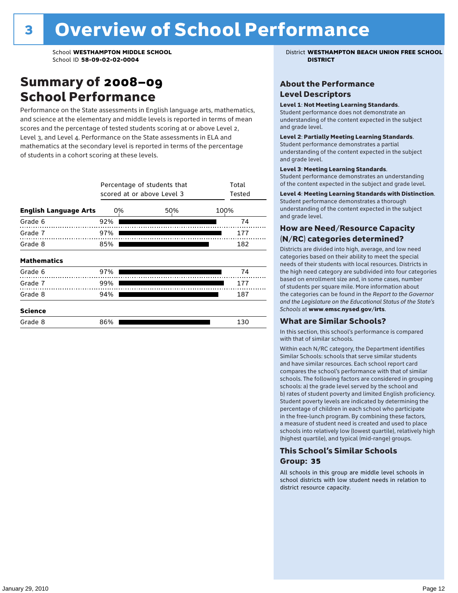### Summary of 2008–09 School Performance

Performance on the State assessments in English language arts, mathematics, and science at the elementary and middle levels is reported in terms of mean scores and the percentage of tested students scoring at or above Level 2, Level 3, and Level 4. Performance on the State assessments in ELA and mathematics at the secondary level is reported in terms of the percentage of students in a cohort scoring at these levels.

|                              |     | Percentage of students that<br>scored at or above Level 3 |      |  |  |  |  |
|------------------------------|-----|-----------------------------------------------------------|------|--|--|--|--|
| <b>English Language Arts</b> | 0%  | 50%                                                       | 100% |  |  |  |  |
| Grade 6                      | 92% |                                                           | 74   |  |  |  |  |
| Grade 7                      | 97% |                                                           | 177  |  |  |  |  |
| Grade 8                      | 85% |                                                           | 182  |  |  |  |  |
| <b>Mathematics</b>           |     |                                                           |      |  |  |  |  |
| Grade 6                      | 97% |                                                           | 74   |  |  |  |  |
| Grade 7                      | 99% |                                                           | 177  |  |  |  |  |
| Grade 8                      | 94% |                                                           | 187  |  |  |  |  |
| <b>Science</b>               |     |                                                           |      |  |  |  |  |
| Grade 8                      | 86% |                                                           | 130  |  |  |  |  |

School **WESTHAMPTON MIDDLE SCHOOL** District **WESTHAMPTON BEACH UNION FREE SCHOOL**

#### About the Performance Level Descriptors

#### Level 1: Not Meeting Learning Standards.

Student performance does not demonstrate an understanding of the content expected in the subject and grade level.

#### Level 2: Partially Meeting Learning Standards.

Student performance demonstrates a partial understanding of the content expected in the subject and grade level.

#### Level 3: Meeting Learning Standards.

Student performance demonstrates an understanding of the content expected in the subject and grade level.

#### Level 4: Meeting Learning Standards with Distinction.

Student performance demonstrates a thorough understanding of the content expected in the subject and grade level.

#### How are Need/Resource Capacity (N/RC) categories determined?

Districts are divided into high, average, and low need categories based on their ability to meet the special needs of their students with local resources. Districts in the high need category are subdivided into four categories based on enrollment size and, in some cases, number of students per square mile. More information about the categories can be found in the *Report to the Governor and the Legislature on the Educational Status of the State's Schools* at www.emsc.nysed.gov/irts.

#### What are Similar Schools?

In this section, this school's performance is compared with that of similar schools.

Within each N/RC category, the Department identifies Similar Schools: schools that serve similar students and have similar resources. Each school report card compares the school's performance with that of similar schools. The following factors are considered in grouping schools: a) the grade level served by the school and b) rates of student poverty and limited English proficiency. Student poverty levels are indicated by determining the percentage of children in each school who participate in the free-lunch program. By combining these factors, a measure of student need is created and used to place schools into relatively low (lowest quartile), relatively high (highest quartile), and typical (mid-range) groups.

#### This School's Similar Schools Group: **35**

All schools in this group are middle level schools in school districts with low student needs in relation to district resource capacity.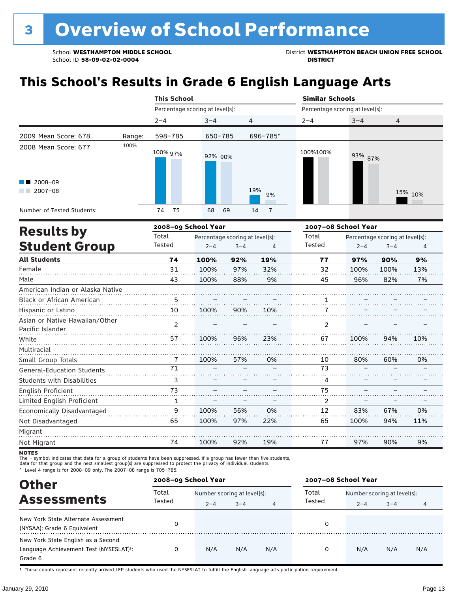School **WESTHAMPTON MIDDLE SCHOOL**<br>School ID 58-09-02-020404<br>District **District Politics** 

# **This School's Results in Grade 6 English Language Arts**

|                            |        | <b>This School</b>              |          |                      | <b>Similar Schools</b> |                                 |                |  |  |
|----------------------------|--------|---------------------------------|----------|----------------------|------------------------|---------------------------------|----------------|--|--|
|                            |        | Percentage scoring at level(s): |          |                      |                        | Percentage scoring at level(s): |                |  |  |
|                            |        | $2 - 4$                         | $3 - 4$  | 4                    | $2 - 4$                | $3 - 4$                         | $\overline{4}$ |  |  |
| 2009 Mean Score: 678       | Range: | 598-785                         | 650-785  | 696-785*             |                        |                                 |                |  |  |
| 2008 Mean Score: 677       | 100%   | 100% 97%                        | 92% 90%  |                      | 100%100%               | 93% 87%                         |                |  |  |
| $\blacksquare$ 2008-09     |        |                                 |          |                      |                        |                                 |                |  |  |
| 2007-08<br>a ka            |        |                                 |          | 19%<br>9%            |                        |                                 | 15% 10%        |  |  |
| Number of Tested Students: |        | 75<br>74                        | 68<br>69 | $\overline{7}$<br>14 |                        |                                 |                |  |  |
|                            |        |                                 |          |                      |                        |                                 |                |  |  |

| <b>Results by</b>                                  |        | 2008-09 School Year |                                 |     | 2007-08 School Year |         |                                 |     |
|----------------------------------------------------|--------|---------------------|---------------------------------|-----|---------------------|---------|---------------------------------|-----|
|                                                    | Total  |                     | Percentage scoring at level(s): |     | Total               |         | Percentage scoring at level(s): |     |
| <b>Student Group</b>                               | Tested | $2 - 4$             | $3 - 4$                         | 4   | Tested              | $2 - 4$ | $3 - 4$                         | 4   |
| <b>All Students</b>                                | 74     | 100%                | 92%                             | 19% | 77                  | 97%     | 90%                             | 9%  |
| Female                                             | 31     | 100%                | 97%                             | 32% | 32                  | 100%    | 100%                            | 13% |
| Male                                               | 43     | 100%                | 88%                             | 9%  | 45                  | 96%     | 82%                             | 7%  |
| American Indian or Alaska Native                   |        |                     |                                 |     |                     |         |                                 |     |
| Black or African American                          | 5      |                     |                                 |     |                     |         |                                 |     |
| Hispanic or Latino                                 | 10     | 100%                | 90%                             | 10% |                     |         |                                 |     |
| Asian or Native Hawaiian/Other<br>Pacific Islander | 2      |                     |                                 |     | $\overline{2}$      |         |                                 |     |
| White                                              | 57     | 100%                | 96%                             | 23% | 67                  | 100%    | 94%                             | 10% |
| Multiracial                                        |        |                     |                                 |     |                     |         |                                 |     |
| Small Group Totals                                 | 7      | 100%                | 57%                             | 0%  | 10                  | 80%     | 60%                             | 0%  |
| <b>General-Education Students</b>                  | 71     |                     |                                 |     | 73                  |         |                                 |     |
| <b>Students with Disabilities</b>                  | 3      |                     |                                 |     | 4                   |         |                                 |     |
| English Proficient                                 | 73     |                     |                                 |     | 75                  |         |                                 |     |
| Limited English Proficient                         |        |                     |                                 |     | 2                   |         |                                 |     |
| Economically Disadvantaged                         | 9      | 100%                | 56%                             | 0%  | 12                  | 83%     | 67%                             | 0%  |
| Not Disadvantaged                                  | 65     | 100%                | 97%                             | 22% | 65                  | 100%    | 94%                             | 11% |
| Migrant                                            |        |                     |                                 |     |                     |         |                                 |     |
| Not Migrant                                        | 74     | 100%                | 92%                             | 19% | 77                  | 97%     | 90%                             | 9%  |

**NOTES** 

The – symbol indicates that data for a group of students have been suppressed. If a group has fewer than five students,<br>data for that group and the next smallest group(s) are suppressed to protect the privacy of individual

\* Level 4 range is for 2008–09 only. The 2007–08 range is 705–785.

| <b>Other</b>                                                                                         | 2008-09 School Year |                             |         |     | 2007-08 School Year |                             |         |     |
|------------------------------------------------------------------------------------------------------|---------------------|-----------------------------|---------|-----|---------------------|-----------------------------|---------|-----|
| <b>Assessments</b>                                                                                   | Total               | Number scoring at level(s): |         |     | Total               | Number scoring at level(s): |         |     |
|                                                                                                      | Tested              | $2 - 4$                     | $3 - 4$ | 4   | Tested              | $2 - 4$                     | $3 - 4$ | 4   |
| New York State Alternate Assessment<br>(NYSAA): Grade 6 Equivalent                                   |                     |                             |         |     | 0                   |                             |         |     |
| New York State English as a Second<br>Language Achievement Test (NYSESLAT) <sup>+</sup> :<br>Grade 6 |                     | N/A                         | N/A     | N/A | 0                   | N/A                         | N/A     | N/A |

† These counts represent recently arrived LEP students who used the NYSESLAT to fulfill the English language arts participation requirement.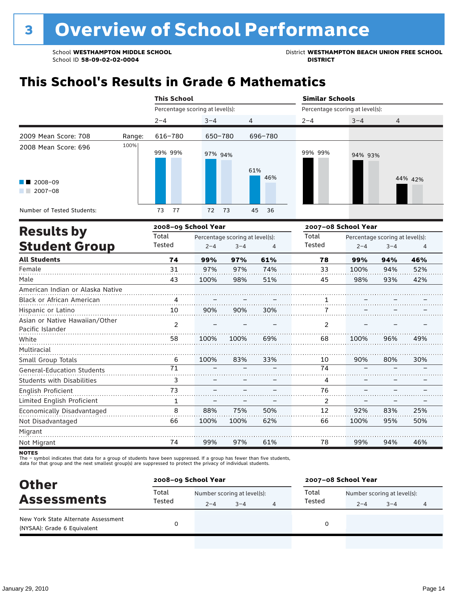School **WESTHAMPTON MIDDLE SCHOOL**<br>School ID 58-09-02-020404<br>District **District Politics** 

# **This School's Results in Grade 6 Mathematics**

|                                                                      |        | <b>This School</b>              |          |                | <b>Similar Schools</b> |                                 |                |  |  |
|----------------------------------------------------------------------|--------|---------------------------------|----------|----------------|------------------------|---------------------------------|----------------|--|--|
|                                                                      |        | Percentage scoring at level(s): |          |                |                        | Percentage scoring at level(s): |                |  |  |
|                                                                      |        | $2 - 4$                         | $3 - 4$  | $\overline{4}$ | $2 - 4$                | $3 - 4$                         | $\overline{4}$ |  |  |
| 2009 Mean Score: 708                                                 | Range: | 616-780                         | 650-780  | 696-780        |                        |                                 |                |  |  |
| 2008 Mean Score: 696<br>$\blacksquare$ 2008-09<br>2007-08<br>a sa Ba | 100%   | 99% 99%                         | 97% 94%  | 61%<br>46%     | 99% 99%                | 94% 93%                         | 44% 42%        |  |  |
| Number of Tested Students:                                           |        | 77<br>73                        | 73<br>72 | 45<br>- 36     |                        |                                 |                |  |  |
| _____                                                                |        | 2008. on Cehool Voor            |          |                |                        | <b>2007 00 Cchaol Voor</b>      |                |  |  |

|                                                    |                 | 2008-09 School Year |                                 |     | 2007-08 School Year |         |                                 |     |
|----------------------------------------------------|-----------------|---------------------|---------------------------------|-----|---------------------|---------|---------------------------------|-----|
| <b>Results by</b>                                  | Total           |                     | Percentage scoring at level(s): |     | Total               |         | Percentage scoring at level(s): |     |
| <b>Student Group</b>                               | Tested          | $2 - 4$             | $3 - 4$                         | 4   | Tested              | $2 - 4$ | $3 - 4$                         | 4   |
| <b>All Students</b>                                | 74              | 99%                 | 97%                             | 61% | 78                  | 99%     | 94%                             | 46% |
| Female                                             | 31              | 97%                 | 97%                             | 74% | 33                  | 100%    | 94%                             | 52% |
| Male                                               | 43              | 100%                | 98%                             | 51% | 45                  | 98%     | 93%                             | 42% |
| American Indian or Alaska Native                   |                 |                     |                                 |     |                     |         |                                 |     |
| Black or African American                          | 4               |                     |                                 |     |                     |         |                                 |     |
| Hispanic or Latino                                 | 10              | 90%                 | 90%                             | 30% |                     |         |                                 |     |
| Asian or Native Hawaiian/Other<br>Pacific Islander | $\mathcal{P}$   |                     |                                 |     | 2                   |         |                                 |     |
| White                                              | 58              | 100%                | 100%                            | 69% | 68                  | 100%    | 96%                             | 49% |
| Multiracial                                        |                 |                     |                                 |     |                     |         |                                 |     |
| Small Group Totals                                 | 6               | 100%                | 83%                             | 33% | 10                  | 90%     | 80%                             | 30% |
| <b>General-Education Students</b>                  | $\overline{71}$ |                     |                                 |     | 74                  |         |                                 |     |
| <b>Students with Disabilities</b>                  | 3               |                     |                                 |     | 4                   |         |                                 |     |
| English Proficient                                 | 73              |                     |                                 |     | 76                  |         |                                 |     |
| Limited English Proficient                         | 1               |                     |                                 |     | 2                   |         |                                 |     |
| Economically Disadvantaged                         | 8               | 88%                 | 75%                             | 50% | 12                  | 92%     | 83%                             | 25% |
| Not Disadvantaged                                  | 66              | 100%                | 100%                            | 62% | 66                  | 100%    | 95%                             | 50% |
| Migrant                                            |                 |                     |                                 |     |                     |         |                                 |     |
| Not Migrant                                        | 74              | 99%                 | 97%                             | 61% | 78                  | 99%     | 94%                             | 46% |

**NOTES** 

The – symbol indicates that data for a group of students have been suppressed. If a group has fewer than five students,<br>data for that group and the next smallest group(s) are suppressed to protect the privacy of individual

| <b>Other</b>                                                       | 2008-09 School Year |                             |         |  | 2007-08 School Year |                             |         |   |
|--------------------------------------------------------------------|---------------------|-----------------------------|---------|--|---------------------|-----------------------------|---------|---|
| <b>Assessments</b>                                                 | Total<br>Tested     | Number scoring at level(s): |         |  | Total               | Number scoring at level(s): |         |   |
|                                                                    |                     | $2 - 4$                     | $3 - 4$ |  | Tested              | $2 - 4$                     | $3 - 4$ | 4 |
| New York State Alternate Assessment<br>(NYSAA): Grade 6 Equivalent |                     |                             |         |  | 0                   |                             |         |   |
|                                                                    |                     |                             |         |  |                     |                             |         |   |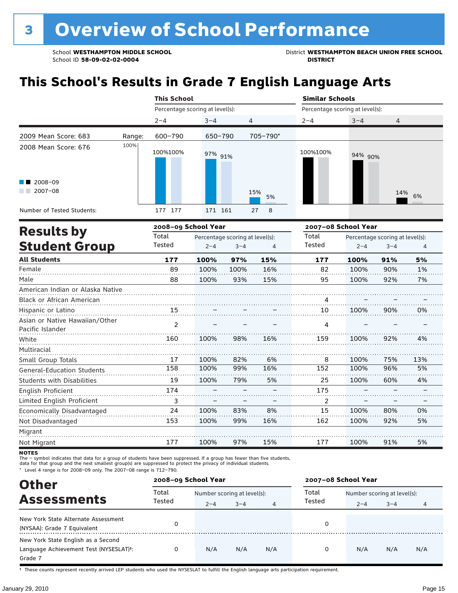School **WESTHAMPTON MIDDLE SCHOOL**<br>School ID 58-09-02-020404<br>District **District Politics** 

# **This School's Results in Grade 7 English Language Arts**

|                                                    |        | <b>This School</b>              |                                 |         |           | <b>Similar Schools</b>          |                     |                                 |     |
|----------------------------------------------------|--------|---------------------------------|---------------------------------|---------|-----------|---------------------------------|---------------------|---------------------------------|-----|
|                                                    |        | Percentage scoring at level(s): |                                 |         |           | Percentage scoring at level(s): |                     |                                 |     |
|                                                    |        | $2 - 4$                         | $3 - 4$                         | 4       |           | $2 - 4$                         | $3 - 4$             | 4                               |     |
| 2009 Mean Score: 683                               | Range: | 600-790                         | 650-790                         |         | 705-790*  |                                 |                     |                                 |     |
| 2008 Mean Score: 676                               | 100%   | 100%100%                        | 97% 91%                         |         |           | 100%100%                        | 94% 90%             |                                 |     |
| 2008-09<br>2007-08                                 |        |                                 |                                 |         | 15%<br>5% |                                 |                     | 14%                             | 6%  |
| Number of Tested Students:                         |        | 177 177                         | 171 161                         |         | 27<br>8   |                                 |                     |                                 |     |
|                                                    |        | 2008-09 School Year             |                                 |         |           |                                 | 2007-08 School Year |                                 |     |
| <b>Results by</b>                                  |        | Total                           | Percentage scoring at level(s): |         |           | Total                           |                     | Percentage scoring at level(s): |     |
| <b>Student Group</b>                               |        | Tested                          | $2 - 4$                         | $3 - 4$ | 4         | Tested                          | $2 - 4$             | $3 - 4$                         | 4   |
| <b>All Students</b>                                |        | 177                             | 100%                            | 97%     | 15%       | 177                             | 100%                | 91%                             | 5%  |
| Female                                             |        | 89                              | 100%                            | 100%    | 16%       | 82                              | 100%                | 90%                             | 1%  |
| Male                                               |        | 88                              | 100%                            | 93%     | 15%       | 95                              | 100%                | 92%                             | 7%  |
| American Indian or Alaska Native                   |        |                                 |                                 |         |           |                                 |                     |                                 |     |
| Black or African American                          | .      |                                 |                                 |         |           |                                 |                     |                                 |     |
| Hispanic or Latino                                 |        | 15                              |                                 |         |           | 10                              | 100%                | 90%                             | 0%  |
| Asian or Native Hawaiian/Other<br>Pacific Islander |        | $\mathcal{P}$                   |                                 |         |           | 4                               |                     |                                 |     |
| White                                              |        | 160                             | 100%                            | 98%     | 16%       | 159                             | 100%                | 92%                             | 4%  |
| Multiracial                                        |        |                                 |                                 |         |           |                                 |                     |                                 |     |
| Small Group Totals                                 |        | 17                              | 100%                            | 82%     | 6%        | 8                               | 100%                | 75%                             | 13% |
| <b>General-Education Students</b>                  |        | 158                             | 100%                            | 99%     | 16%       | 152                             | 100%                | 96%                             | 5%  |
| <b>Students with Disabilities</b>                  |        | 19                              | 100%                            | 79%     | 5%        | 25                              | 100%                | 60%                             | 4%  |

| English Proficient                | 174 |      |     |     | 175 |      |     |    |  |
|-----------------------------------|-----|------|-----|-----|-----|------|-----|----|--|
| Limited English Proficient        |     |      |     |     |     |      |     |    |  |
| <b>Economically Disadvantaged</b> | 24  | 100% | 83% | 8%  |     | 100% | 80% | 0% |  |
| Not Disadvantaged                 | 153 | 100% | 99% | 16% | 162 | 100% | 92% | 5% |  |
| Migrant                           |     |      |     |     |     |      |     |    |  |
| Not Migrant                       |     | 100% | 97% | 15% |     | 100% | 91% | 5% |  |

**NOTES** 

The – symbol indicates that data for a group of students have been suppressed. If a group has fewer than five students,

data for that group and the next smallest group(s) are suppressed to protect the privacy of individual students.

\* Level 4 range is for 2008–09 only. The 2007–08 range is 712–790.

| <b>Other</b>                                                                                         | 2008-09 School Year |                             |         |     | 2007-08 School Year |                             |         |     |  |
|------------------------------------------------------------------------------------------------------|---------------------|-----------------------------|---------|-----|---------------------|-----------------------------|---------|-----|--|
|                                                                                                      | Total               | Number scoring at level(s): |         |     | Total               | Number scoring at level(s): |         |     |  |
| <b>Assessments</b>                                                                                   | Tested              | $2 - 4$                     | $3 - 4$ | 4   | Tested              | $2 - 4$                     | $3 - 4$ | 4   |  |
| New York State Alternate Assessment<br>(NYSAA): Grade 7 Equivalent                                   |                     |                             |         |     | 0                   |                             |         |     |  |
| New York State English as a Second<br>Language Achievement Test (NYSESLAT) <sup>+</sup> :<br>Grade 7 |                     | N/A                         | N/A     | N/A | 0                   | N/A                         | N/A     | N/A |  |

† These counts represent recently arrived LEP students who used the NYSESLAT to fulfill the English language arts participation requirement.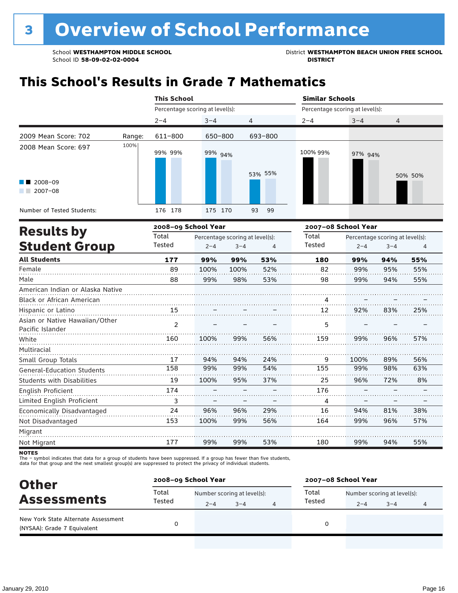School **WESTHAMPTON MIDDLE SCHOOL**<br>School ID 58-09-02-020404<br>District **District Politics** 

## **This School's Results in Grade 7 Mathematics**

|                                                    |        | <b>This School</b>              |                                 |         |                | <b>Similar Schools</b>          |                     |                                 |                |
|----------------------------------------------------|--------|---------------------------------|---------------------------------|---------|----------------|---------------------------------|---------------------|---------------------------------|----------------|
|                                                    |        | Percentage scoring at level(s): |                                 |         |                | Percentage scoring at level(s): |                     |                                 |                |
|                                                    |        | $2 - 4$                         | $3 - 4$                         | 4       |                | $2 - 4$                         | $3 - 4$             | 4                               |                |
| 2009 Mean Score: 702                               | Range: | 611-800                         | 650-800                         |         | 693-800        |                                 |                     |                                 |                |
| 2008 Mean Score: 697                               | 100%   | 99% 99%                         | 99% 94%                         |         |                | 100% 99%                        | 97% 94%             |                                 |                |
| 2008-09<br>$2007 - 08$                             |        |                                 |                                 |         | 53% 55%        |                                 |                     |                                 | 50% 50%        |
| Number of Tested Students:                         |        | 176 178                         | 175 170                         |         | 93<br>99       |                                 |                     |                                 |                |
|                                                    |        | 2008-09 School Year             |                                 |         |                |                                 | 2007-08 School Year |                                 |                |
| <b>Results by</b>                                  |        | Total                           | Percentage scoring at level(s): |         |                | Total                           |                     | Percentage scoring at level(s): |                |
| <b>Student Group</b>                               |        | Tested                          | $2 - 4$                         | $3 - 4$ | $\overline{4}$ | Tested                          | $2 - 4$             | $3 - 4$                         | $\overline{4}$ |
| <b>All Students</b>                                |        | 177                             | 99%                             | 99%     | 53%            | 180                             | 99%                 | 94%                             | 55%            |
| Female                                             |        | 89                              | 100%                            | 100%    | 52%            | 82                              | 99%                 | 95%                             | 55%            |
| Male                                               |        | 88                              | 99%                             | 98%     | 53%            | 98                              | 99%                 | 94%                             | 55%            |
| American Indian or Alaska Native                   |        |                                 |                                 |         |                |                                 |                     |                                 |                |
| Black or African American                          |        |                                 |                                 |         |                | 4                               |                     |                                 |                |
| Hispanic or Latino                                 |        | 15                              |                                 |         |                | 12                              | 92%                 | 83%                             | 25%            |
| Asian or Native Hawaiian/Other<br>Pacific Islander |        | 2                               |                                 |         |                | 5                               |                     |                                 |                |
| White                                              |        | 160                             | 100%                            | 99%     | 56%            | 159                             | 99%                 | 96%                             | 57%            |
| Multiracial                                        |        |                                 |                                 |         |                |                                 |                     |                                 |                |
| Small Group Totals                                 |        | 17                              | 94%                             | 94%     | 24%            | 9                               | 100%                | 89%                             | 56%            |
| <b>General-Education Students</b>                  |        | 158                             | 99%                             | 99%     | 54%            | 155                             | 99%                 | 98%                             | 63%            |
| <b>Students with Disabilities</b>                  |        | 19                              | 100%                            | 95%     | 37%            | 25                              | 96%                 | 72%                             | 8%             |
| <b>English Proficient</b>                          |        | 174                             |                                 |         |                | 176                             |                     |                                 |                |
| Limited English Proficient                         |        | 3                               |                                 |         |                | 4                               |                     |                                 |                |
| Economically Disadvantaged                         |        | 24                              | 96%                             | 96%     | 29%            | 16                              | 94%                 | 81%                             | 38%            |
| Not Disadvantaged                                  |        | 153                             | 100%                            | 99%     | 56%            | 164                             | 99%                 | 96%                             | 57%            |
| Migrant                                            |        |                                 |                                 |         |                |                                 |                     |                                 |                |
| Not Migrant                                        |        | 177                             | 99%                             | 99%     | 53%            | 180                             | 99%                 | 94%                             | 55%            |

**NOTES** 

The – symbol indicates that data for a group of students have been suppressed. If a group has fewer than five students,<br>data for that group and the next smallest group(s) are suppressed to protect the privacy of individual

| Total<br>Total<br>Number scoring at level(s):<br>Number scoring at level(s):<br><b>Assessments</b><br>Tested<br>Tested<br>$3 - 4$<br>$2 - 4$<br>$3 - 4$<br>$2 - 4$<br>New York State Alternate Assessment<br>O | <b>Other</b>                | 2008-09 School Year |  |  |  | 2007-08 School Year |  |  |  |  |
|----------------------------------------------------------------------------------------------------------------------------------------------------------------------------------------------------------------|-----------------------------|---------------------|--|--|--|---------------------|--|--|--|--|
|                                                                                                                                                                                                                |                             |                     |  |  |  |                     |  |  |  |  |
|                                                                                                                                                                                                                |                             |                     |  |  |  |                     |  |  |  |  |
|                                                                                                                                                                                                                | (NYSAA): Grade 7 Equivalent |                     |  |  |  |                     |  |  |  |  |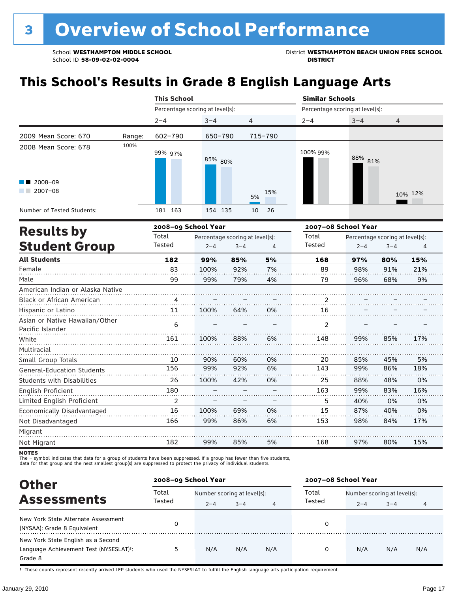School WESTHAMPTON MIDDLE SCHOOL **District WESTHAMPTON BEACH UNION FREE SCHOOL** 

# **This School's Results in Grade 8 English Language Arts**

|                                                    |        | <b>This School</b> |                                 |                                 |           | <b>Similar Schools</b>          |                                 |         |         |  |
|----------------------------------------------------|--------|--------------------|---------------------------------|---------------------------------|-----------|---------------------------------|---------------------------------|---------|---------|--|
|                                                    |        |                    | Percentage scoring at level(s): |                                 |           | Percentage scoring at level(s): |                                 |         |         |  |
|                                                    |        | $2 - 4$            | $3 - 4$                         | 4                               |           | $2 - 4$                         | $3 - 4$                         | 4       |         |  |
| 2009 Mean Score: 670                               | Range: | $602 - 790$        | 650-790                         |                                 | 715-790   |                                 |                                 |         |         |  |
| 2008 Mean Score: 678                               | 100%   | 99% 97%            | 85% 80%                         |                                 |           | 100% 99%                        | 88% 81%                         |         |         |  |
| $12008 - 09$<br>$2007 - 08$                        |        |                    |                                 |                                 | 15%<br>5% |                                 |                                 |         | 10% 12% |  |
| Number of Tested Students:                         |        | 181 163            | 154 135                         |                                 | 10<br>26  |                                 |                                 |         |         |  |
|                                                    |        |                    | 2008-09 School Year             |                                 |           | 2007-08 School Year             |                                 |         |         |  |
| <b>Results by</b>                                  |        | Total              |                                 | Percentage scoring at level(s): |           | Total                           | Percentage scoring at level(s): |         |         |  |
| <b>Student Group</b>                               |        | Tested             | $2 - 4$                         | $3 - 4$                         | 4         | Tested                          | $2 - 4$                         | $3 - 4$ | 4       |  |
| <b>All Students</b>                                |        | 182                | 99%                             | 85%                             | 5%        | 168                             | 97%                             | 80%     | 15%     |  |
| Female                                             |        | 83                 | 100%                            | 92%                             | 7%        | 89                              | 98%                             | 91%     | 21%     |  |
| Male                                               |        | 99                 | 99%                             | 79%                             | 4%        | 79                              | 96%                             | 68%     | 9%      |  |
| American Indian or Alaska Native                   |        |                    |                                 |                                 |           |                                 |                                 |         |         |  |
| <b>Black or African American</b>                   |        | 4                  |                                 |                                 |           | $\overline{2}$                  |                                 |         |         |  |
| Hispanic or Latino                                 |        | 11                 | 100%                            | 64%                             | 0%        | 16                              |                                 |         |         |  |
| Asian or Native Hawaiian/Other<br>Pacific Islander |        | 6                  |                                 |                                 |           | 2                               |                                 |         |         |  |
| White                                              |        | 161                | 100%                            | 88%                             | 6%        | 148                             | 99%                             | 85%     | 17%     |  |
| Multiracial                                        |        |                    |                                 |                                 |           |                                 |                                 |         |         |  |
| Small Group Totals                                 |        | 10                 | 90%                             | 60%                             | 0%        | 20                              | 85%                             | 45%     | 5%      |  |
| <b>General-Education Students</b>                  |        | 156                | 99%                             | 92%                             | 6%        | 143                             | 99%                             | 86%     | 18%     |  |
| <b>Students with Disabilities</b>                  |        | 26                 | 100%                            | 42%                             | 0%        | 25                              | 88%                             | 48%     | 0%      |  |
| English Proficient                                 |        | 180                |                                 |                                 |           | 163                             | 99%                             | 83%     | 16%     |  |
| Limited English Proficient                         |        | 2                  |                                 |                                 |           | 5                               | 40%                             | 0%      | 0%      |  |

Migrant Not Migrant **NOTES** 182 99% 85%

The – symbol indicates that data for a group of students have been suppressed. If a group has fewer than five students,<br>data for that group and the next smallest group(s) are suppressed to protect the privacy of individual

16 166

100% 99%

69% 86%

0% 6%

15 153 87% 98% 40% 84%

0% 17%

15%

. . . . . . . . .

80%

97%

168

5%

| <b>Other</b>                                                                            | 2008-09 School Year |                             |         |     | 2007-08 School Year |                             |         |     |
|-----------------------------------------------------------------------------------------|---------------------|-----------------------------|---------|-----|---------------------|-----------------------------|---------|-----|
|                                                                                         | Total               | Number scoring at level(s): |         |     | Total               | Number scoring at level(s): |         |     |
| <b>Assessments</b>                                                                      | Tested              | $2 - 4$                     | $3 - 4$ | 4   | Tested              | $2 - 4$                     | $3 - 4$ | 4   |
| New York State Alternate Assessment<br>(NYSAA): Grade 8 Equivalent                      |                     |                             |         |     |                     |                             |         |     |
| New York State English as a Second<br>Language Achievement Test (NYSESLAT)t:<br>Grade 8 | 5                   | N/A                         | N/A     | N/A | 0                   | N/A                         | N/A     | N/A |

† These counts represent recently arrived LEP students who used the NYSESLAT to fulfill the English language arts participation requirement.

Economically Disadvantaged

Not Disadvantaged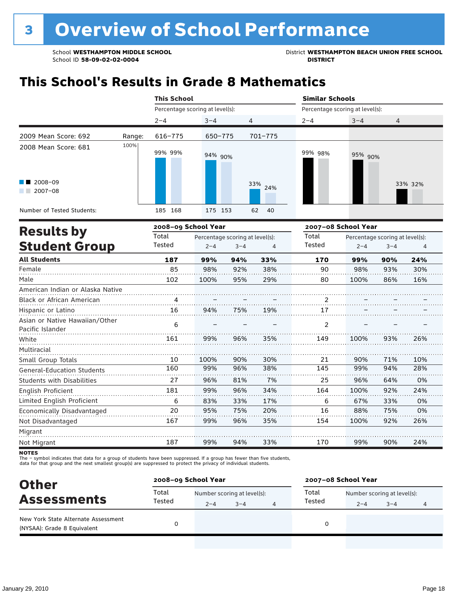School **WESTHAMPTON MIDDLE SCHOOL** District **WESTHAMPTON BEACH UNION FREE SCHOOL**

## **This School's Results in Grade 8 Mathematics**

|                                  |        | <b>This School</b>              |                                 |         |             | <b>Similar Schools</b>          |                                 |         |         |  |
|----------------------------------|--------|---------------------------------|---------------------------------|---------|-------------|---------------------------------|---------------------------------|---------|---------|--|
|                                  |        | Percentage scoring at level(s): |                                 |         |             | Percentage scoring at level(s): |                                 |         |         |  |
|                                  |        | $2 - 4$                         | $3 - 4$                         | 4       |             | $2 - 4$                         | $3 - 4$                         | 4       |         |  |
| 2009 Mean Score: 692             | Range: | $616 - 775$                     | 650-775                         |         | $701 - 775$ |                                 |                                 |         |         |  |
| 2008 Mean Score: 681             | 100%   | 99% 99%                         | 94% 90%                         |         |             | 99% 98%                         | 95% 90%                         |         |         |  |
| $12008 - 09$<br>$2007 - 08$      |        |                                 |                                 |         | 33%<br>24%  |                                 |                                 |         | 33% 32% |  |
| Number of Tested Students:       |        | 185 168                         | 175 153                         |         | 62<br>40    |                                 |                                 |         |         |  |
| <b>Results by</b>                |        | 2008-09 School Year             |                                 |         |             | 2007-08 School Year             |                                 |         |         |  |
|                                  |        | Total                           | Percentage scoring at level(s): |         |             | Total                           | Percentage scoring at level(s): |         |         |  |
| <b>Student Group</b>             |        | Tested                          | $2 - 4$                         | $3 - 4$ | 4           | Tested                          | $2 - 4$                         | $3 - 4$ | 4       |  |
| <b>All Students</b>              |        | 187                             | 99%                             | 94%     | 33%         | 170                             | 99%                             | 90%     | 24%     |  |
| Female                           |        | 85                              | 98%                             | 92%     | 38%         | 90                              | 98%                             | 93%     | 30%     |  |
| Male                             |        | 102                             | 100%                            | 95%     | 29%         | 80                              | 100%                            | 86%     | 16%     |  |
| American Indian or Alaska Native |        |                                 |                                 |         |             |                                 |                                 |         |         |  |
| Black or African American        |        | 4                               |                                 |         |             |                                 |                                 |         |         |  |
| Hispanic or Latino               |        | 16                              | 94%                             | 75%     | 19%         | 17                              |                                 |         |         |  |
| Asian or Native Hawaiian/Other   |        |                                 |                                 |         |             |                                 |                                 |         |         |  |
| Pacific Islander                 |        | 6                               |                                 |         |             | 2                               |                                 |         |         |  |

Migrant Not Migrant

Multiracial

Small Group Totals

English Proficient

Not Disadvantaged

General-Education Students Students with Disabilities

Limited English Proficient Economically Disadvantaged

The – symbol indicates that data for a group of students have been suppressed. If a group has fewer than five students,

100% 99% 96% 99% 83% 95% 99%

90% 96% 81% 96% 33% 75% 96%

30% 38% 7% 34% 17% 20% 35%

90% 99% 96% 100% 67% 88% 100%

71% 94% 64% 92% 33% 75% 92%

10% 28% 0% 24% 0% 0% 26%

24%

. . . . . . . .

90%

99%

170

33%

94%

99%

187

data for that group and the next smallest group(s) are suppressed to protect the privacy of individual students.

| <b>Other</b>                                                       |        | 2008-09 School Year         |         | 2007-08 School Year |         |                             |   |  |
|--------------------------------------------------------------------|--------|-----------------------------|---------|---------------------|---------|-----------------------------|---|--|
|                                                                    | Total  | Number scoring at level(s): |         | Total               |         | Number scoring at level(s): |   |  |
| <b>Assessments</b>                                                 | Tested | $2 - 4$                     | $3 - 4$ | Tested              | $2 - 4$ | $3 - 4$                     | 4 |  |
| New York State Alternate Assessment<br>(NYSAA): Grade 8 Equivalent |        |                             |         |                     |         |                             |   |  |
|                                                                    |        |                             |         |                     |         |                             |   |  |

**NOTES**